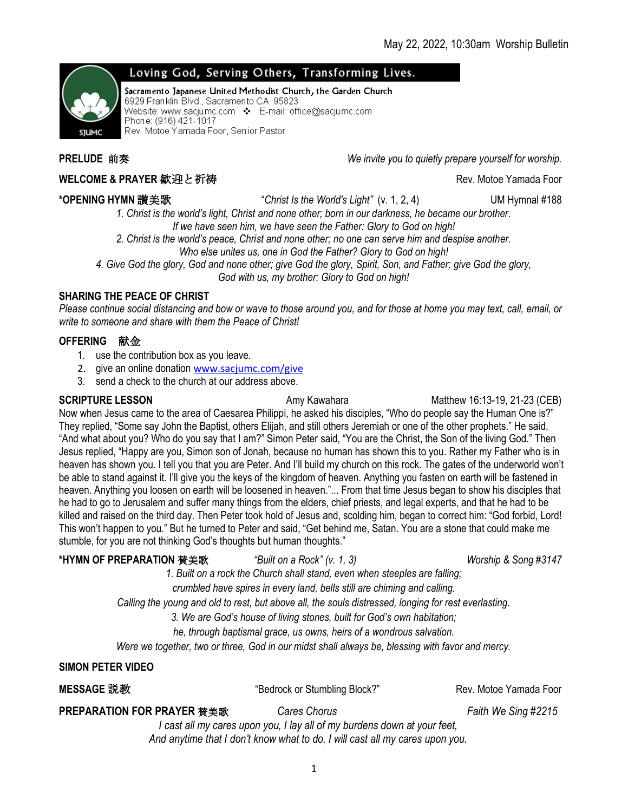

Sacramento Japanese United Methodist Church, the Garden Church 6929 Franklin Blvd., Sacramento CA 95823 Website: www.sacjumc.com : E-mail: office@sacjumc.com Phone: (916) 421-1017 Rev. Motoe Yamada Foor, Senior Pastor

**PRELUDE** 前奏 *We invite you to quietly prepare yourself for worship.*

**WELCOME & PRAYER** 歓迎と祈祷Rev. Motoe Yamada Foor

**\*OPENING HYMN** 讃美歌"*Christ Is the World's Light"* (v. 1, 2, 4) UM Hymnal #188

*1. Christ is the world's light, Christ and none other; born in our darkness, he became our brother. If we have seen him, we have seen the Father: Glory to God on high!*

*2. Christ is the world's peace, Christ and none other; no one can serve him and despise another. Who else unites us, one in God the Father? Glory to God on high!*

*4. Give God the glory, God and none other; give God the glory, Spirit, Son, and Father; give God the glory, God with us, my brother: Glory to God on high!*

## **SHARING THE PEACE OF CHRIST**

*Please continue social distancing and bow or wave to those around you, and for those at home you may text, call, email, or write to someone and share with them the Peace of Christ!*

# **OFFERING** 献金

- 1. use the contribution box as you leave.
- 2. give an online donation [www.sacjumc.com/give](http://www.sacjumc.com/give)
- 3. send a check to the church at our address above.

**SCRIPTURE LESSON Amy Kawahara** Matthew 16:13-19, 21-23 (CEB)

Now when Jesus came to the area of Caesarea Philippi, he asked his disciples, "Who do people say the Human One is?" They replied, "Some say John the Baptist, others Elijah, and still others Jeremiah or one of the other prophets." He said, "And what about you? Who do you say that I am?" Simon Peter said, "You are the Christ, the Son of the living God." Then Jesus replied, "Happy are you, Simon son of Jonah, because no human has shown this to you. Rather my Father who is in heaven has shown you. I tell you that you are Peter. And I'll build my church on this rock. The gates of the underworld won't be able to stand against it. I'll give you the keys of the kingdom of heaven. Anything you fasten on earth will be fastened in heaven. Anything you loosen on earth will be loosened in heaven."... From that time Jesus began to show his disciples that he had to go to Jerusalem and suffer many things from the elders, chief priests, and legal experts, and that he had to be killed and raised on the third day. Then Peter took hold of Jesus and, scolding him, began to correct him: "God forbid, Lord! This won't happen to you." But he turned to Peter and said, "Get behind me, Satan. You are a stone that could make me stumble, for you are not thinking God's thoughts but human thoughts."

# **\*HYMN OF PREPARATION** 賛美歌*"Built on a Rock" (v. 1, 3) Worship & Song #3147*

*1. Built on a rock the Church shall stand, even when steeples are falling; crumbled have spires in every land, bells still are chiming and calling.*

*Calling the young and old to rest, but above all, the souls distressed, longing for rest everlasting.*

*3. We are God's house of living stones, built for God's own habitation;* 

*he, through baptismal grace, us owns, heirs of a wondrous salvation.*

*Were we together, two or three, God in our midst shall always be, blessing with favor and mercy.*

**SIMON PETER VIDEO**

| MESSAGE 説教 | "Bedrock or Stumbling Block?" | Rev. Motoe Yamada Foor |
|------------|-------------------------------|------------------------|
|------------|-------------------------------|------------------------|

# **PREPARATION FOR PRAYER** 賛美歌*Cares Chorus Faith We Sing #2215*

*I cast all my cares upon you, I lay all of my burdens down at your feet, And anytime that I don't know what to do, I will cast all my cares upon you.*